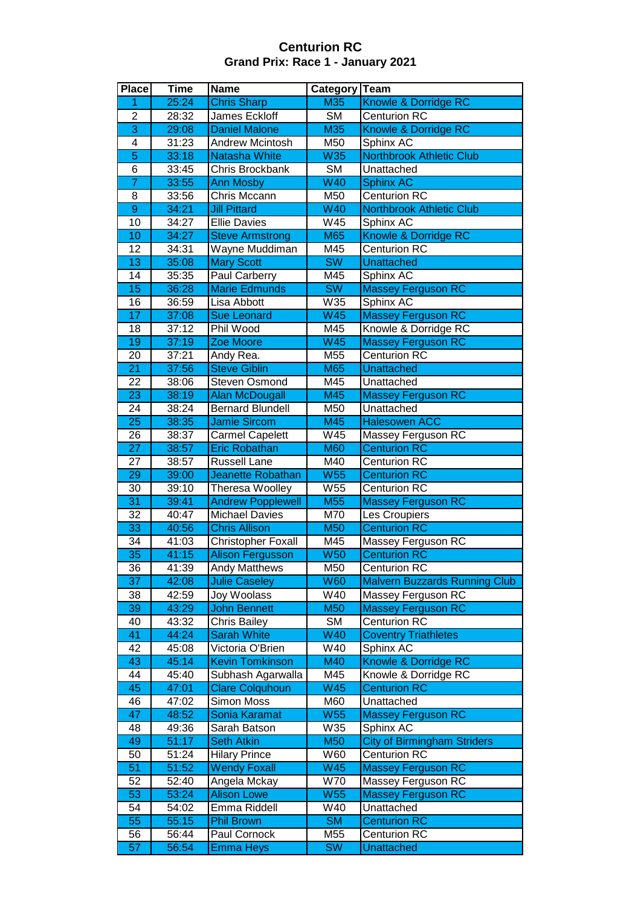## **Centurion RC Grand Prix: Race 1 - January 2021**

| <b>Place</b>            | <b>Time</b> | <b>Name</b>               | Category                   | <b>Team</b>                          |
|-------------------------|-------------|---------------------------|----------------------------|--------------------------------------|
| 1                       | 25:24       | <b>Chris Sharp</b>        | M35                        | Knowle & Dorridge RC                 |
| $\overline{\mathbf{c}}$ | 28:32       | James Eckloff             | <b>SM</b>                  | <b>Centurion RC</b>                  |
| $\overline{3}$          | 29:08       | <b>Daniel Malone</b>      | M35                        | <b>Knowle &amp; Dorridge RC</b>      |
| 4                       | 31:23       | <b>Andrew Mcintosh</b>    | M50                        | Sphinx AC                            |
| $\overline{5}$          | 33:18       | <b>Natasha White</b>      | W35                        | <b>Northbrook Athletic Club</b>      |
| 6                       | 33:45       | Chris Brockbank           | <b>SM</b>                  | Unattached                           |
| $\overline{7}$          | 33:55       | <b>Ann Mosby</b>          | $\overline{\mathsf{W}}$ 40 | <b>Sphinx AC</b>                     |
| 8                       | 33:56       | <b>Chris Mccann</b>       | M50                        | <b>Centurion RC</b>                  |
| $\overline{9}$          | 34:21       | <b>Jill Pittard</b>       | <b>W40</b>                 | <b>Northbrook Athletic Club</b>      |
| $\overline{10}$         | 34:27       | <b>Ellie Davies</b>       | W45                        | Sphinx AC                            |
| 10                      | 34:27       | <b>Steve Armstrong</b>    | <b>M65</b>                 | Knowle & Dorridge RC                 |
| 12                      | 34:31       | Wayne Muddiman            | M45                        | <b>Centurion RC</b>                  |
| $\overline{13}$         | 35:08       | <b>Mary Scott</b>         | $\overline{\text{SW}}$     | <b>Unattached</b>                    |
| 14                      | 35:35       | Paul Carberry             | M45                        | Sphinx AC                            |
| 15                      | 36:28       | <b>Marie Edmunds</b>      | <b>SW</b>                  |                                      |
|                         |             |                           |                            | <b>Massey Ferguson RC</b>            |
| 16                      | 36:59       | Lisa Abbott               | W35                        | Sphinx AC                            |
| $\overline{17}$         | 37:08       | <b>Sue Leonard</b>        | W45                        | <b>Massey Ferguson RC</b>            |
| 18                      | 37:12       | Phil Wood                 | M45                        | Knowle & Dorridge RC                 |
| 19                      | 37:19       | Zoe Moore                 | <b>W45</b>                 | <b>Massey Ferguson RC</b>            |
| 20                      | 37:21       | Andy Rea.                 | M55                        | <b>Centurion RC</b>                  |
| $\overline{21}$         | 37:56       | <b>Steve Giblin</b>       | M65                        | Unattached                           |
| 22                      | 38:06       | <b>Steven Osmond</b>      | M45                        | Unattached                           |
| $\overline{23}$         | 38:19       | <b>Alan McDougall</b>     | M45                        | <b>Massey Ferguson RC</b>            |
| 24                      | 38:24       | <b>Bernard Blundell</b>   | M50                        | Unattached                           |
| $\overline{25}$         | 38:35       | <b>Jamie Sircom</b>       | M45                        | <b>Halesowen ACC</b>                 |
| 26                      | 38:37       | <b>Carmel Capelett</b>    | W45                        | Massey Ferguson RC                   |
| $\overline{27}$         | 38:57       | <b>Eric Robathan</b>      | <b>M60</b>                 | <b>Centurion RC</b>                  |
| 27                      | 38:57       | <b>Russell Lane</b>       | M40                        | <b>Centurion RC</b>                  |
| 29                      | 39:00       | Jeanette Robathan         | W <sub>55</sub>            | <b>Centurion RC</b>                  |
| $\overline{30}$         | 39:10       | Theresa Woolley           | W <sub>55</sub>            | Centurion RC                         |
| $\overline{31}$         | 39:41       | <b>Andrew Popplewell</b>  | M <sub>55</sub>            | <b>Massey Ferguson RC</b>            |
| 32                      | 40:47       | <b>Michael Davies</b>     | M70                        | Les Croupiers                        |
| $\overline{33}$         | 40:56       | <b>Chris Allison</b>      | <b>M50</b>                 | <b>Centurion RC</b>                  |
| $\overline{34}$         | 41:03       | <b>Christopher Foxall</b> | M45                        | Massey Ferguson RC                   |
| $\overline{35}$         | 41:15       | <b>Alison Fergusson</b>   | <b>W50</b>                 | <b>Centurion RC</b>                  |
| 36                      | 41:39       | Andy Matthews             | <b>M50</b>                 | Centurion RC                         |
| $\overline{37}$         | 42:08       | <b>Julie Caseley</b>      | <b>W60</b>                 | <b>Malvern Buzzards Running Club</b> |
| 38                      | 42:59       | Joy Woolass               | W40                        | Massey Ferguson RC                   |
| 39                      | 43:29       | <b>John Bennett</b>       | <b>M50</b>                 | <b>Massey Ferguson RC</b>            |
| 40                      | 43:32       | <b>Chris Bailey</b>       | <b>SM</b>                  | <b>Centurion RC</b>                  |
| 41                      | 44:24       | <b>Sarah White</b>        | W40                        | <b>Coventry Triathletes</b>          |
| 42                      | 45:08       | Victoria O'Brien          | W40                        | Sphinx AC                            |
| 43                      | 45:14       | <b>Kevin Tomkinson</b>    | M40                        | <b>Knowle &amp; Dorridge RC</b>      |
| 44                      | 45:40       | Subhash Agarwalla         | M45                        | Knowle & Dorridge RC                 |
| 45                      | 47:01       | <b>Clare Colquhoun</b>    | <b>W45</b>                 | <b>Centurion RC</b>                  |
| 46                      | 47:02       | Simon Moss                | M60                        | Unattached                           |
| 47                      | 48:52       | Sonia Karamat             | <b>W55</b>                 | <b>Massey Ferguson RC</b>            |
| 48                      | 49:36       | Sarah Batson              | W35                        | Sphinx AC                            |
| 49                      | 51:17       | <b>Seth Atkin</b>         | <b>M50</b>                 | <b>City of Birmingham Striders</b>   |
| 50                      | 51:24       | <b>Hilary Prince</b>      | W60                        | <b>Centurion RC</b>                  |
| 51                      | 51:52       | <b>Wendy Foxall</b>       | <b>W45</b>                 | <b>Massey Ferguson RC</b>            |
| 52                      | 52:40       | Angela Mckay              | <b>W70</b>                 | Massey Ferguson RC                   |
| 53                      | 53:24       | <b>Alison Lowe</b>        | W55                        | <b>Massey Ferguson RC</b>            |
| 54                      | 54:02       | Emma Riddell              | W40                        | Unattached                           |
| 55                      | 55:15       | <b>Phil Brown</b>         | <b>SM</b>                  | <b>Centurion RC</b>                  |
| 56                      | 56:44       | Paul Cornock              | M55                        | <b>Centurion RC</b>                  |
| 57                      | 56:54       | <b>Emma Heys</b>          | <b>SW</b>                  | <b>Unattached</b>                    |
|                         |             |                           |                            |                                      |